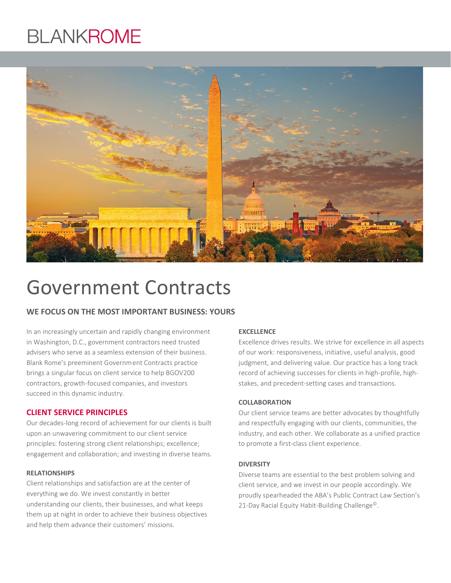# **BLANKROME**



# Government Contracts

# **WE FOCUS ON THE MOST IMPORTANT BUSINESS: YOURS**

In an increasingly uncertain and rapidly changing environment in Washington, D.C., government contractors need trusted advisers who serve as a seamless extension of their business. Blank Rome's preeminent Government Contracts practice brings a singular focus on client service to help BGOV200 contractors, growth-focused companies, and investors succeed in this dynamic industry.

# **CLIENT SERVICE PRINCIPLES**

Our decades-long record of achievement for our clients is built upon an unwavering commitment to our client service principles: fostering strong client relationships; excellence; engagement and collaboration; and investing in diverse teams.

### **RELATIONSHIPS**

Client relationships and satisfaction are at the center of everything we do. We invest constantly in better understanding our clients, their businesses, and what keeps them up at night in order to achieve their business objectives and help them advance their customers' missions.

#### **EXCELLENCE**

Excellence drives results. We strive for excellence in all aspects of our work: responsiveness, initiative, useful analysis, good judgment, and delivering value. Our practice has a long track record of achieving successes for clients in high-profile, highstakes, and precedent-setting cases and transactions.

#### **COLLABORATION**

Our client service teams are better advocates by thoughtfully and respectfully engaging with our clients, communities, the industry, and each other. We collaborate as a unified practice to promote a first-class client experience.

#### **DIVERSITY**

Diverse teams are essential to the best problem solving and client service, and we invest in our people accordingly. We proudly spearheaded the ABA's Public Contract Law Section's 21-Day Racial Equity Habit-Building Challenge<sup>©</sup>.